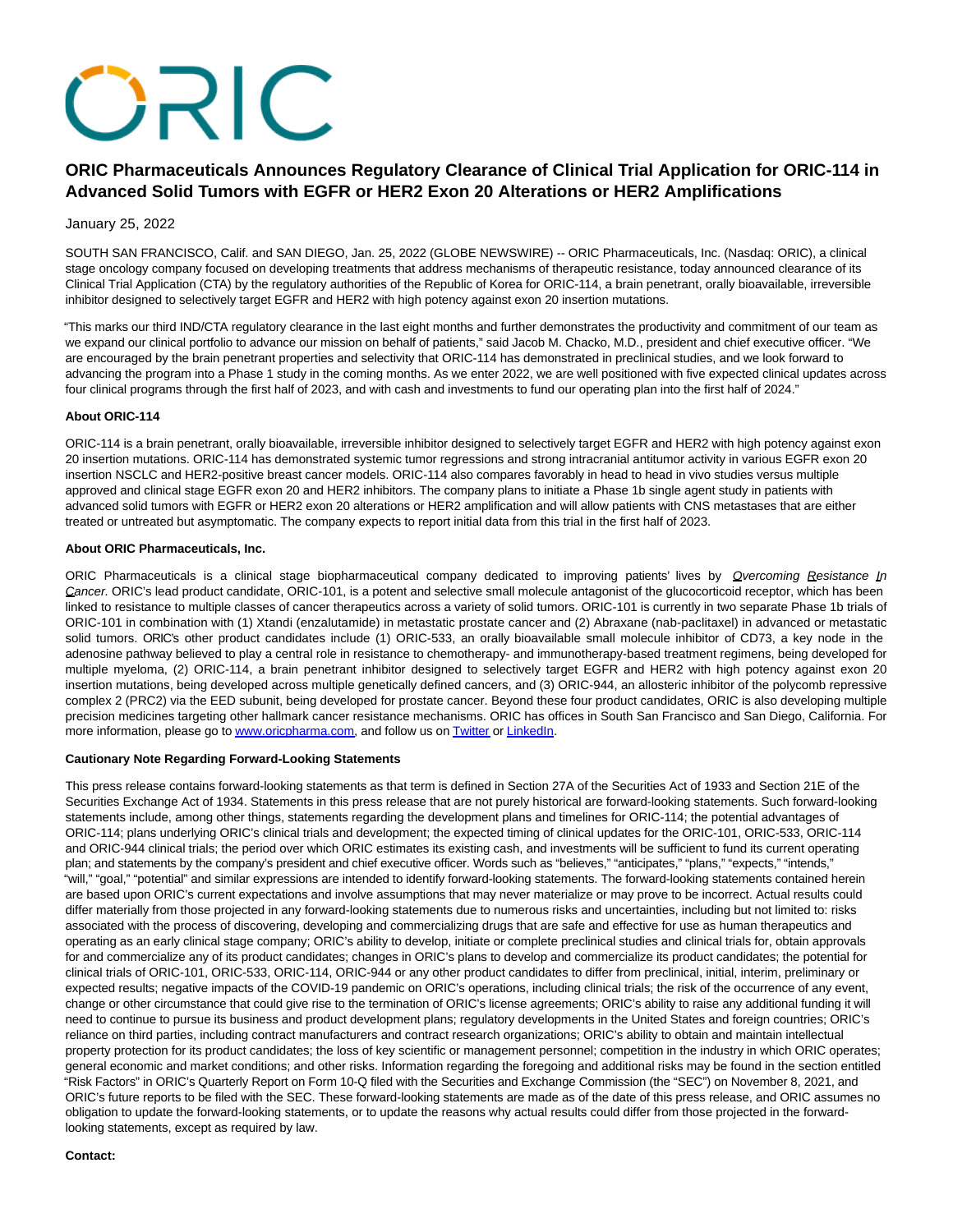# **ORIC**

# **ORIC Pharmaceuticals Announces Regulatory Clearance of Clinical Trial Application for ORIC-114 in Advanced Solid Tumors with EGFR or HER2 Exon 20 Alterations or HER2 Amplifications**

## January 25, 2022

SOUTH SAN FRANCISCO, Calif. and SAN DIEGO, Jan. 25, 2022 (GLOBE NEWSWIRE) -- ORIC Pharmaceuticals, Inc. (Nasdaq: ORIC), a clinical stage oncology company focused on developing treatments that address mechanisms of therapeutic resistance, today announced clearance of its Clinical Trial Application (CTA) by the regulatory authorities of the Republic of Korea for ORIC-114, a brain penetrant, orally bioavailable, irreversible inhibitor designed to selectively target EGFR and HER2 with high potency against exon 20 insertion mutations.

"This marks our third IND/CTA regulatory clearance in the last eight months and further demonstrates the productivity and commitment of our team as we expand our clinical portfolio to advance our mission on behalf of patients," said Jacob M. Chacko, M.D., president and chief executive officer. "We are encouraged by the brain penetrant properties and selectivity that ORIC-114 has demonstrated in preclinical studies, and we look forward to advancing the program into a Phase 1 study in the coming months. As we enter 2022, we are well positioned with five expected clinical updates across four clinical programs through the first half of 2023, and with cash and investments to fund our operating plan into the first half of 2024."

## **About ORIC-114**

ORIC-114 is a brain penetrant, orally bioavailable, irreversible inhibitor designed to selectively target EGFR and HER2 with high potency against exon 20 insertion mutations. ORIC-114 has demonstrated systemic tumor regressions and strong intracranial antitumor activity in various EGFR exon 20 insertion NSCLC and HER2-positive breast cancer models. ORIC-114 also compares favorably in head to head in vivo studies versus multiple approved and clinical stage EGFR exon 20 and HER2 inhibitors. The company plans to initiate a Phase 1b single agent study in patients with advanced solid tumors with EGFR or HER2 exon 20 alterations or HER2 amplification and will allow patients with CNS metastases that are either treated or untreated but asymptomatic. The company expects to report initial data from this trial in the first half of 2023.

## **About ORIC Pharmaceuticals, Inc.**

ORIC Pharmaceuticals is a clinical stage biopharmaceutical company dedicated to improving patients' lives by Qvercoming Resistance In Cancer. ORIC's lead product candidate, ORIC-101, is a potent and selective small molecule antagonist of the glucocorticoid receptor, which has been linked to resistance to multiple classes of cancer therapeutics across a variety of solid tumors. ORIC-101 is currently in two separate Phase 1b trials of ORIC-101 in combination with (1) Xtandi (enzalutamide) in metastatic prostate cancer and (2) Abraxane (nab-paclitaxel) in advanced or metastatic solid tumors. ORIC's other product candidates include (1) ORIC-533, an orally bioavailable small molecule inhibitor of CD73, a key node in the adenosine pathway believed to play a central role in resistance to chemotherapy- and immunotherapy-based treatment regimens, being developed for multiple myeloma, (2) ORIC-114, a brain penetrant inhibitor designed to selectively target EGFR and HER2 with high potency against exon 20 insertion mutations, being developed across multiple genetically defined cancers, and (3) ORIC-944, an allosteric inhibitor of the polycomb repressive complex 2 (PRC2) via the EED subunit, being developed for prostate cancer. Beyond these four product candidates, ORIC is also developing multiple precision medicines targeting other hallmark cancer resistance mechanisms. ORIC has offices in South San Francisco and San Diego, California. For more information, please go t[o www.oricpharma.com,](https://www.globenewswire.com/Tracker?data=QkvFXT7Ygd-c713NkU0QbpLdNMhLYVnXyTbq4NgttkQW5mvCvrunvQpYxtw9lgfputQkekFpv7yWKF_993JT-yGETJozKDBNj8QyWB8m27Q=) and follow us o[n Twitter o](https://www.globenewswire.com/Tracker?data=S0e6IJRkNal--gqeyrzTLaui60ilFtSFtFu2WOont5mmvMZwhC_DC716Zk50MDQar3NaUk5Am9y7j1LADp5w8w==)r [LinkedIn.](https://www.globenewswire.com/Tracker?data=gWJKykpFGRmLgZ2HjNHKxZBTly02ZFO1PVxLTUD1GF1vzY5rbWBl4hut_MouUYiMb0UOGq1fesbZbePkEAo1MOUKRXrmAJMatmnjCGI9AjmNEwqDEBVALJNaW09d0J04)

#### **Cautionary Note Regarding Forward-Looking Statements**

This press release contains forward-looking statements as that term is defined in Section 27A of the Securities Act of 1933 and Section 21E of the Securities Exchange Act of 1934. Statements in this press release that are not purely historical are forward-looking statements. Such forward-looking statements include, among other things, statements regarding the development plans and timelines for ORIC-114; the potential advantages of ORIC-114; plans underlying ORIC's clinical trials and development; the expected timing of clinical updates for the ORIC-101, ORIC-533, ORIC-114 and ORIC-944 clinical trials; the period over which ORIC estimates its existing cash, and investments will be sufficient to fund its current operating plan; and statements by the company's president and chief executive officer. Words such as "believes," "anticipates," "plans," "expects," "intends," "will," "goal," "potential" and similar expressions are intended to identify forward-looking statements. The forward-looking statements contained herein are based upon ORIC's current expectations and involve assumptions that may never materialize or may prove to be incorrect. Actual results could differ materially from those projected in any forward-looking statements due to numerous risks and uncertainties, including but not limited to: risks associated with the process of discovering, developing and commercializing drugs that are safe and effective for use as human therapeutics and operating as an early clinical stage company; ORIC's ability to develop, initiate or complete preclinical studies and clinical trials for, obtain approvals for and commercialize any of its product candidates; changes in ORIC's plans to develop and commercialize its product candidates; the potential for clinical trials of ORIC-101, ORIC-533, ORIC-114, ORIC-944 or any other product candidates to differ from preclinical, initial, interim, preliminary or expected results; negative impacts of the COVID-19 pandemic on ORIC's operations, including clinical trials; the risk of the occurrence of any event, change or other circumstance that could give rise to the termination of ORIC's license agreements; ORIC's ability to raise any additional funding it will need to continue to pursue its business and product development plans; regulatory developments in the United States and foreign countries; ORIC's reliance on third parties, including contract manufacturers and contract research organizations; ORIC's ability to obtain and maintain intellectual property protection for its product candidates; the loss of key scientific or management personnel; competition in the industry in which ORIC operates; general economic and market conditions; and other risks. Information regarding the foregoing and additional risks may be found in the section entitled "Risk Factors" in ORIC's Quarterly Report on Form 10-Q filed with the Securities and Exchange Commission (the "SEC") on November 8, 2021, and ORIC's future reports to be filed with the SEC. These forward-looking statements are made as of the date of this press release, and ORIC assumes no obligation to update the forward-looking statements, or to update the reasons why actual results could differ from those projected in the forwardlooking statements, except as required by law.

#### **Contact:**